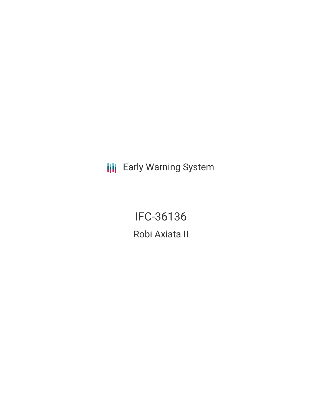**III** Early Warning System

IFC-36136 Robi Axiata II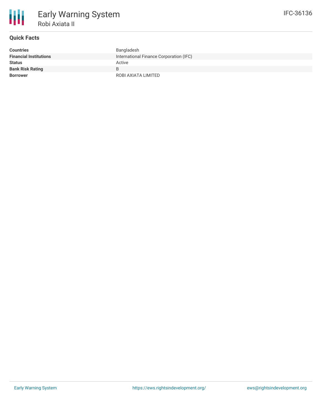

## **Quick Facts**

| <b>Countries</b>              | Bangladesh                              |
|-------------------------------|-----------------------------------------|
| <b>Financial Institutions</b> | International Finance Corporation (IFC) |
| <b>Status</b>                 | Active                                  |
| <b>Bank Risk Rating</b>       | B.                                      |
| <b>Borrower</b>               | ROBI AXIATA LIMITED                     |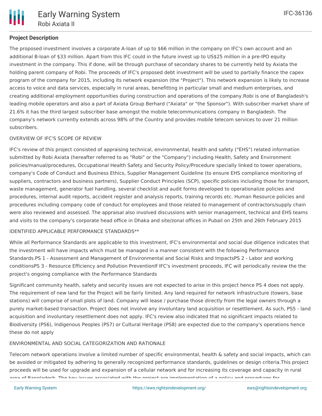# **Project Description**

The proposed investment involves a corporate A-loan of up to \$66 million in the company on IFC's own account and an additional B-loan of \$33 million. Apart from this IFC could in the future invest up to US\$25 million in a pre-IPO equity investment in the company. This if done, will be through purchase of secondary shares to be currently held by Axiata the holding parent company of Robi. The proceeds of IFC's proposed debt investment will be used to partially finance the capex program of the company for 2015, including its network expansion (the "Project"). This network expansion is likely to increase access to voice and data services, especially in rural areas, benefitting in particular small and medium enterprises, and creating additional employment opportunities during construction and operations of the company.Robi is one of Bangladesh's leading mobile operators and also a part of Axiata Group Berhard ("Axiata" or "the Sponsor"). With subscriber market share of 21.6% it has the third largest subscriber base amongst the mobile telecommunications company in Bangladesh. The company's network currently extends across 98% of the Country and provides mobile telecom services to over 21 million subscribers.

### OVERVIEW OF IFC'S SCOPE OF REVIEW

IFC's review of this project consisted of appraising technical, environmental, health and safety ("EHS") related information submitted by Robi Axiata (hereafter referred to as "Robi" or the "Company") including Health, Safety and Environment policies/manual/procedures, Occupational Health Safety and Security Policy/Procedure specially linked to tower operations, company's Code of Conduct and Business Ethics, Supplier Management Guideline (to ensure EHS compliance monitoring of suppliers, contractors and business partners), Supplier Conduct Principles (SCP), specific policies including those for transport, waste management, generator fuel handling, several checklist and audit forms developed to operationalize policies and procedures, internal audit reports, accident register and analysis reports, training records etc. Human Resource policies and procedures including company code of conduct for employees and those related to management of contractors/supply chain were also reviewed and assessed. The appraisal also involved discussions with senior management, technical and EHS teams and visits to the company's corporate head office in Dhaka and site/zonal offices in Pubail on 25th and 26th February 2015

#### IDENTIFIED APPLICABLE PERFORMANCE STANDARDS\*\*

While all Performance Standards are applicable to this investment, IFC's environmental and social due diligence indicates that the investment will have impacts which must be managed in a manner consistent with the following Performance Standards.PS 1 - Assessment and Management of Environmental and Social Risks and ImpactsPS 2 - Labor and working conditionsPS 3 - Resource Efficiency and Pollution PreventionIf IFC's investment proceeds, IFC will periodically review the the project's ongoing compliance with the Performance Standards

Significant community health, safety and security issues are not expected to arise in this project hence PS 4 does not apply. The requirement of new land for the Project will be fairly limited. Any land required for network infrastructure (towers, base stations) will comprise of small plots of land. Company will lease / purchase those directly from the legal owners through a purely market-based transaction. Project does not involve any involuntary land acquisition or resettlement. As such, PS5 - land acquisition and involuntary resettlement does not apply. IFC's review also indicated that no significant impacts related to Biodiversity (PS6), Indigenous Peoples (PS7) or Cultural Heritage (PS8) are expected due to the company's operations hence these do not apply

### ENVIRONMENTAL AND SOCIAL CATEGORIZATION AND RATIONALE

Telecom network operations involve a limited number of specific environmental, health & safety and social impacts, which can be avoided or mitigated by adhering to generally recognized performance standards, guidelines or design criteria.This project proceeds will be used for upgrade and expansion of a cellular network and for increasing its coverage and capacity in rural area of Bangladesh. The key issues associated with the project are implementation of a policy and procedures for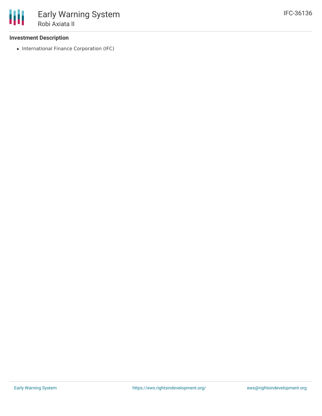## **Investment Description**

• International Finance Corporation (IFC)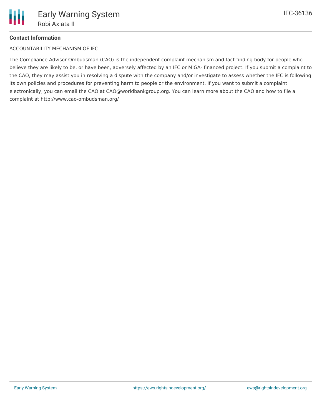# **Contact Information**

ACCOUNTABILITY MECHANISM OF IFC

The Compliance Advisor Ombudsman (CAO) is the independent complaint mechanism and fact-finding body for people who believe they are likely to be, or have been, adversely affected by an IFC or MIGA- financed project. If you submit a complaint to the CAO, they may assist you in resolving a dispute with the company and/or investigate to assess whether the IFC is following its own policies and procedures for preventing harm to people or the environment. If you want to submit a complaint electronically, you can email the CAO at CAO@worldbankgroup.org. You can learn more about the CAO and how to file a complaint at http://www.cao-ombudsman.org/